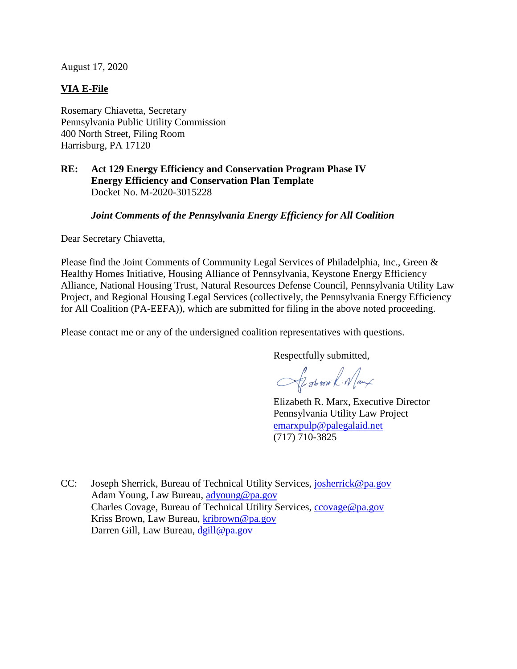August 17, 2020

# **VIA E-File**

Rosemary Chiavetta, Secretary Pennsylvania Public Utility Commission 400 North Street, Filing Room Harrisburg, PA 17120

# **RE: Act 129 Energy Efficiency and Conservation Program Phase IV Energy Efficiency and Conservation Plan Template** Docket No. M-2020-3015228

# *Joint Comments of the Pennsylvania Energy Efficiency for All Coalition*

Dear Secretary Chiavetta,

Please find the Joint Comments of Community Legal Services of Philadelphia, Inc., Green & Healthy Homes Initiative, Housing Alliance of Pennsylvania, Keystone Energy Efficiency Alliance, National Housing Trust, Natural Resources Defense Council, Pennsylvania Utility Law Project, and Regional Housing Legal Services (collectively, the Pennsylvania Energy Efficiency for All Coalition (PA-EEFA)), which are submitted for filing in the above noted proceeding.

Please contact me or any of the undersigned coalition representatives with questions.

Respectfully submitted,

Alstron R. Namx

Elizabeth R. Marx, Executive Director Pennsylvania Utility Law Project emarxpulp@palegalaid.net (717) 710-3825

CC: Joseph Sherrick, Bureau of Technical Utility Services, josherrick@pa.gov Adam Young, Law Bureau, adyoung@pa.gov Charles Covage, Bureau of Technical Utility Services, ccovage@pa.gov Kriss Brown, Law Bureau, kribrown@pa.gov Darren Gill, Law Bureau, dgill@pa.gov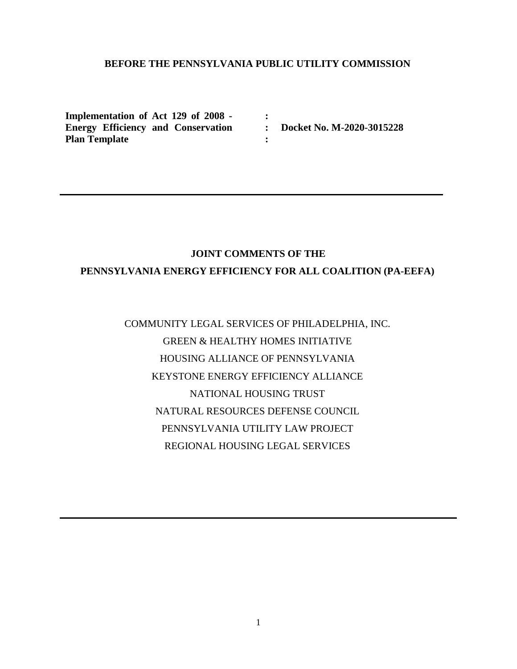# **BEFORE THE PENNSYLVANIA PUBLIC UTILITY COMMISSION**

**:**

**:**

**Implementation of Act 129 of 2008 - Energy Efficiency and Conservation : Docket No. M-2020-3015228 Plan Template**

# **JOINT COMMENTS OF THE**

# **PENNSYLVANIA ENERGY EFFICIENCY FOR ALL COALITION (PA-EEFA)**

# COMMUNITY LEGAL SERVICES OF PHILADELPHIA, INC. GREEN & HEALTHY HOMES INITIATIVE HOUSING ALLIANCE OF PENNSYLVANIA KEYSTONE ENERGY EFFICIENCY ALLIANCE NATIONAL HOUSING TRUST NATURAL RESOURCES DEFENSE COUNCIL PENNSYLVANIA UTILITY LAW PROJECT REGIONAL HOUSING LEGAL SERVICES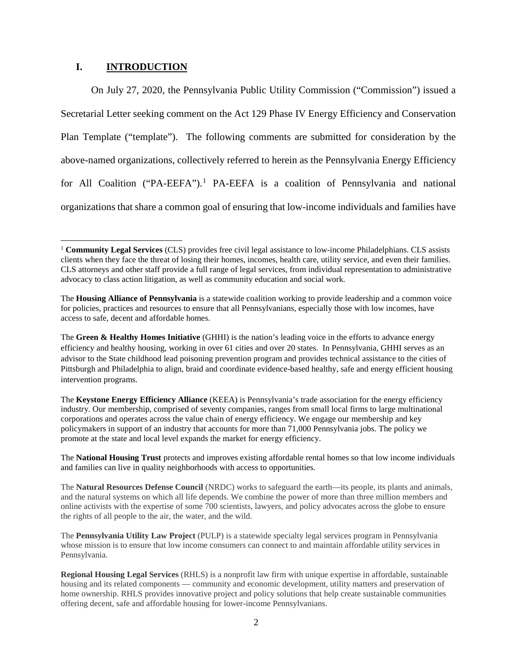# **I. INTRODUCTION**

On July 27, 2020, the Pennsylvania Public Utility Commission ("Commission") issued a Secretarial Letter seeking comment on the Act 129 Phase IV Energy Efficiency and Conservation Plan Template ("template"). The following comments are submitted for consideration by the above-named organizations, collectively referred to herein as the Pennsylvania Energy Efficiency for All Coalition ("PA-EEFA").<sup>1</sup> PA-EEFA is a coalition of Pennsylvania and national organizations that share a common goal of ensuring that low-income individuals and families have

 <sup>1</sup> **Community Legal Services** (CLS) provides free civil legal assistance to low-income Philadelphians. CLS assists clients when they face the threat of losing their homes, incomes, health care, utility service, and even their families. CLS attorneys and other staff provide a full range of legal services, from individual representation to administrative advocacy to class action litigation, as well as community education and social work.

The **Housing Alliance of Pennsylvania** is a statewide coalition working to provide leadership and a common voice for policies, practices and resources to ensure that all Pennsylvanians, especially those with low incomes, have access to safe, decent and affordable homes.

The **Green & Healthy Homes Initiative** (GHHI) is the nation's leading voice in the efforts to advance energy efficiency and healthy housing, working in over 61 cities and over 20 states. In Pennsylvania, GHHI serves as an advisor to the State childhood lead poisoning prevention program and provides technical assistance to the cities of Pittsburgh and Philadelphia to align, braid and coordinate evidence-based healthy, safe and energy efficient housing intervention programs.

The **Keystone Energy Efficiency Alliance** (KEEA) is Pennsylvania's trade association for the energy efficiency industry. Our membership, comprised of seventy companies, ranges from small local firms to large multinational corporations and operates across the value chain of energy efficiency. We engage our membership and key policymakers in support of an industry that accounts for more than 71,000 Pennsylvania jobs. The policy we promote at the state and local level expands the market for energy efficiency.

The **National Housing Trust** protects and improves existing affordable rental homes so that low income individuals and families can live in quality neighborhoods with access to opportunities.

The **Natural Resources Defense Council** (NRDC) works to safeguard the earth—its people, its plants and animals, and the natural systems on which all life depends. We combine the power of more than three million members and online activists with the expertise of some 700 scientists, lawyers, and policy advocates across the globe to ensure the rights of all people to the air, the water, and the wild.

The **Pennsylvania Utility Law Project** (PULP) is a statewide specialty legal services program in Pennsylvania whose mission is to ensure that low income consumers can connect to and maintain affordable utility services in Pennsylvania.

**Regional Housing Legal Services** (RHLS) is a nonprofit law firm with unique expertise in affordable, sustainable housing and its related components — community and economic development, utility matters and preservation of home ownership. RHLS provides innovative project and policy solutions that help create sustainable communities offering decent, safe and affordable housing for lower-income Pennsylvanians.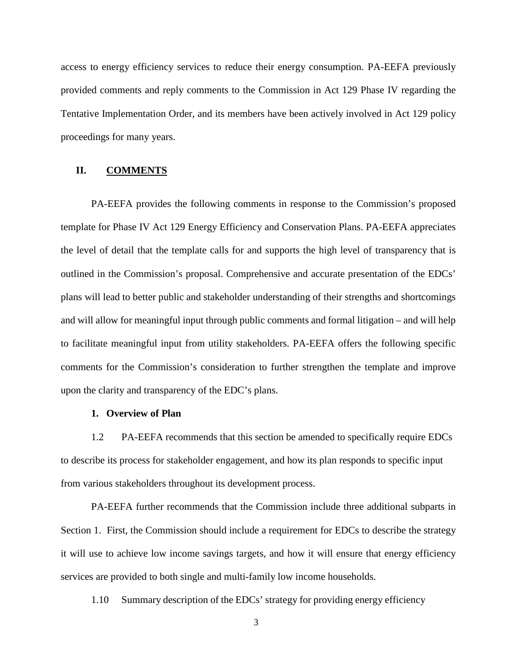access to energy efficiency services to reduce their energy consumption. PA-EEFA previously provided comments and reply comments to the Commission in Act 129 Phase IV regarding the Tentative Implementation Order, and its members have been actively involved in Act 129 policy proceedings for many years.

## **II. COMMENTS**

PA-EEFA provides the following comments in response to the Commission's proposed template for Phase IV Act 129 Energy Efficiency and Conservation Plans. PA-EEFA appreciates the level of detail that the template calls for and supports the high level of transparency that is outlined in the Commission's proposal. Comprehensive and accurate presentation of the EDCs' plans will lead to better public and stakeholder understanding of their strengths and shortcomings and will allow for meaningful input through public comments and formal litigation – and will help to facilitate meaningful input from utility stakeholders. PA-EEFA offers the following specific comments for the Commission's consideration to further strengthen the template and improve upon the clarity and transparency of the EDC's plans.

# **1. Overview of Plan**

1.2 PA-EEFA recommends that this section be amended to specifically require EDCs to describe its process for stakeholder engagement, and how its plan responds to specific input from various stakeholders throughout its development process.

PA-EEFA further recommends that the Commission include three additional subparts in Section 1. First, the Commission should include a requirement for EDCs to describe the strategy it will use to achieve low income savings targets, and how it will ensure that energy efficiency services are provided to both single and multi-family low income households.

1.10 Summary description of the EDCs' strategy for providing energy efficiency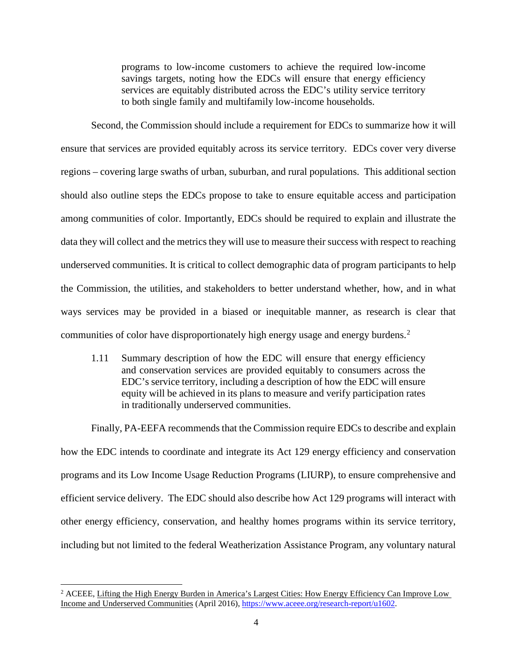programs to low-income customers to achieve the required low-income savings targets, noting how the EDCs will ensure that energy efficiency services are equitably distributed across the EDC's utility service territory to both single family and multifamily low-income households.

Second, the Commission should include a requirement for EDCs to summarize how it will ensure that services are provided equitably across its service territory. EDCs cover very diverse regions – covering large swaths of urban, suburban, and rural populations. This additional section should also outline steps the EDCs propose to take to ensure equitable access and participation among communities of color. Importantly, EDCs should be required to explain and illustrate the data they will collect and the metrics they will use to measure their success with respect to reaching underserved communities. It is critical to collect demographic data of program participants to help the Commission, the utilities, and stakeholders to better understand whether, how, and in what ways services may be provided in a biased or inequitable manner, as research is clear that communities of color have disproportionately high energy usage and energy burdens.<sup>2</sup>

1.11 Summary description of how the EDC will ensure that energy efficiency and conservation services are provided equitably to consumers across the EDC's service territory, including a description of how the EDC will ensure equity will be achieved in its plans to measure and verify participation rates in traditionally underserved communities.

Finally, PA-EEFA recommends that the Commission require EDCs to describe and explain how the EDC intends to coordinate and integrate its Act 129 energy efficiency and conservation programs and its Low Income Usage Reduction Programs (LIURP), to ensure comprehensive and efficient service delivery. The EDC should also describe how Act 129 programs will interact with other energy efficiency, conservation, and healthy homes programs within its service territory, including but not limited to the federal Weatherization Assistance Program, any voluntary natural

<sup>&</sup>lt;sup>2</sup> ACEEE, Lifting the High Energy Burden in America's Largest Cities: How Energy Efficiency Can Improve Low Income and Underserved Communities (April 2016), https://www.aceee.org/research-report/u1602.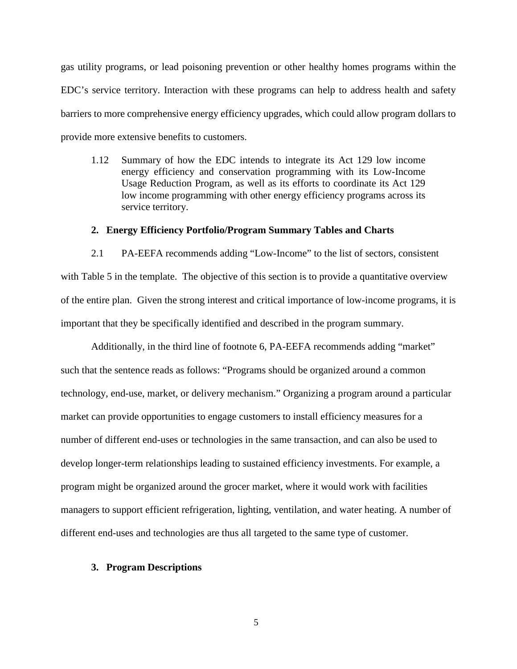gas utility programs, or lead poisoning prevention or other healthy homes programs within the EDC's service territory. Interaction with these programs can help to address health and safety barriers to more comprehensive energy efficiency upgrades, which could allow program dollars to provide more extensive benefits to customers.

1.12 Summary of how the EDC intends to integrate its Act 129 low income energy efficiency and conservation programming with its Low-Income Usage Reduction Program, as well as its efforts to coordinate its Act 129 low income programming with other energy efficiency programs across its service territory.

### **2. Energy Efficiency Portfolio/Program Summary Tables and Charts**

2.1 PA-EEFA recommends adding "Low-Income" to the list of sectors, consistent with Table 5 in the template. The objective of this section is to provide a quantitative overview of the entire plan. Given the strong interest and critical importance of low-income programs, it is important that they be specifically identified and described in the program summary.

Additionally, in the third line of footnote 6, PA-EEFA recommends adding "market" such that the sentence reads as follows: "Programs should be organized around a common technology, end-use, market, or delivery mechanism." Organizing a program around a particular market can provide opportunities to engage customers to install efficiency measures for a number of different end-uses or technologies in the same transaction, and can also be used to develop longer-term relationships leading to sustained efficiency investments. For example, a program might be organized around the grocer market, where it would work with facilities managers to support efficient refrigeration, lighting, ventilation, and water heating. A number of different end-uses and technologies are thus all targeted to the same type of customer.

#### **3. Program Descriptions**

5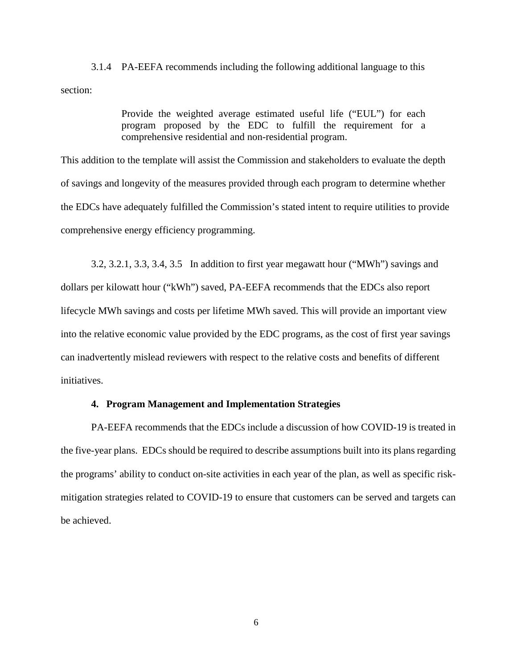3.1.4 PA-EEFA recommends including the following additional language to this section:

> Provide the weighted average estimated useful life ("EUL") for each program proposed by the EDC to fulfill the requirement for a comprehensive residential and non-residential program.

This addition to the template will assist the Commission and stakeholders to evaluate the depth of savings and longevity of the measures provided through each program to determine whether the EDCs have adequately fulfilled the Commission's stated intent to require utilities to provide comprehensive energy efficiency programming.

3.2, 3.2.1, 3.3, 3.4, 3.5 In addition to first year megawatt hour ("MWh") savings and dollars per kilowatt hour ("kWh") saved, PA-EEFA recommends that the EDCs also report lifecycle MWh savings and costs per lifetime MWh saved. This will provide an important view into the relative economic value provided by the EDC programs, as the cost of first year savings can inadvertently mislead reviewers with respect to the relative costs and benefits of different initiatives.

## **4. Program Management and Implementation Strategies**

PA-EEFA recommends that the EDCs include a discussion of how COVID-19 is treated in the five-year plans. EDCs should be required to describe assumptions built into its plans regarding the programs' ability to conduct on-site activities in each year of the plan, as well as specific riskmitigation strategies related to COVID-19 to ensure that customers can be served and targets can be achieved.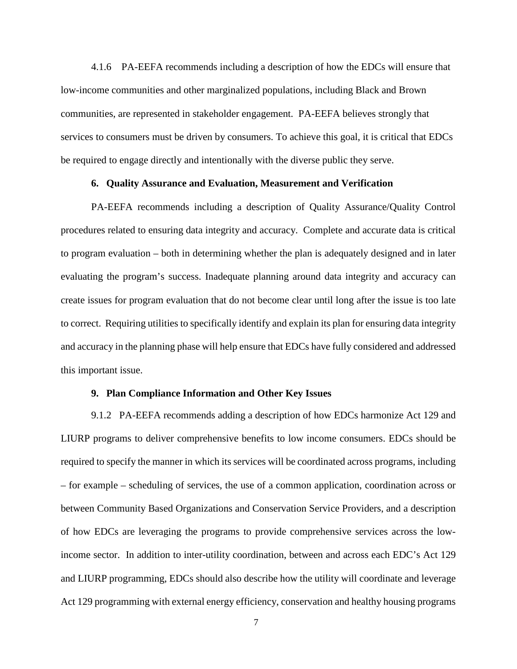4.1.6 PA-EEFA recommends including a description of how the EDCs will ensure that low-income communities and other marginalized populations, including Black and Brown communities, are represented in stakeholder engagement. PA-EEFA believes strongly that services to consumers must be driven by consumers. To achieve this goal, it is critical that EDCs be required to engage directly and intentionally with the diverse public they serve.

## **6. Quality Assurance and Evaluation, Measurement and Verification**

PA-EEFA recommends including a description of Quality Assurance/Quality Control procedures related to ensuring data integrity and accuracy. Complete and accurate data is critical to program evaluation – both in determining whether the plan is adequately designed and in later evaluating the program's success. Inadequate planning around data integrity and accuracy can create issues for program evaluation that do not become clear until long after the issue is too late to correct. Requiring utilities to specifically identify and explain its plan for ensuring data integrity and accuracy in the planning phase will help ensure that EDCs have fully considered and addressed this important issue.

#### **9. Plan Compliance Information and Other Key Issues**

9.1.2 PA-EEFA recommends adding a description of how EDCs harmonize Act 129 and LIURP programs to deliver comprehensive benefits to low income consumers. EDCs should be required to specify the manner in which its services will be coordinated across programs, including – for example – scheduling of services, the use of a common application, coordination across or between Community Based Organizations and Conservation Service Providers, and a description of how EDCs are leveraging the programs to provide comprehensive services across the lowincome sector. In addition to inter-utility coordination, between and across each EDC's Act 129 and LIURP programming, EDCs should also describe how the utility will coordinate and leverage Act 129 programming with external energy efficiency, conservation and healthy housing programs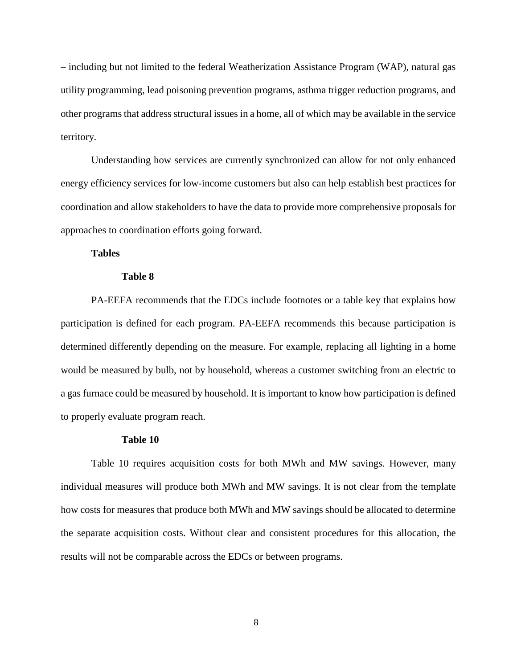– including but not limited to the federal Weatherization Assistance Program (WAP), natural gas utility programming, lead poisoning prevention programs, asthma trigger reduction programs, and other programs that address structural issues in a home, all of which may be available in the service territory.

Understanding how services are currently synchronized can allow for not only enhanced energy efficiency services for low-income customers but also can help establish best practices for coordination and allow stakeholders to have the data to provide more comprehensive proposals for approaches to coordination efforts going forward.

#### **Tables**

#### **Table 8**

PA-EEFA recommends that the EDCs include footnotes or a table key that explains how participation is defined for each program. PA-EEFA recommends this because participation is determined differently depending on the measure. For example, replacing all lighting in a home would be measured by bulb, not by household, whereas a customer switching from an electric to a gas furnace could be measured by household. It is important to know how participation is defined to properly evaluate program reach.

#### **Table 10**

Table 10 requires acquisition costs for both MWh and MW savings. However, many individual measures will produce both MWh and MW savings. It is not clear from the template how costs for measures that produce both MWh and MW savings should be allocated to determine the separate acquisition costs. Without clear and consistent procedures for this allocation, the results will not be comparable across the EDCs or between programs.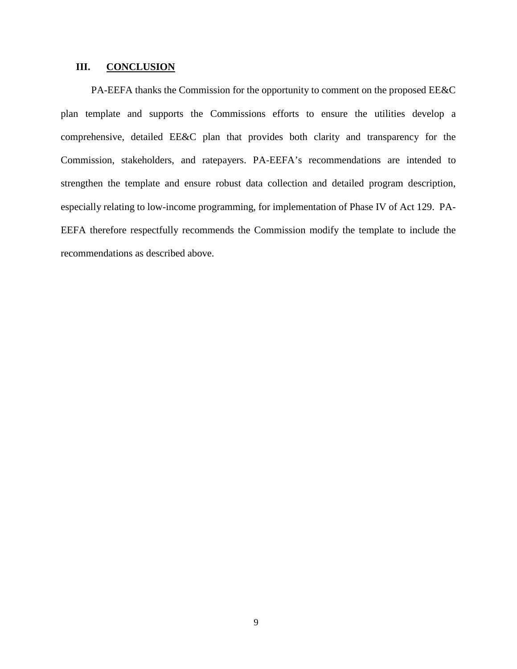# **III. CONCLUSION**

PA-EEFA thanks the Commission for the opportunity to comment on the proposed EE&C plan template and supports the Commissions efforts to ensure the utilities develop a comprehensive, detailed EE&C plan that provides both clarity and transparency for the Commission, stakeholders, and ratepayers. PA-EEFA's recommendations are intended to strengthen the template and ensure robust data collection and detailed program description, especially relating to low-income programming, for implementation of Phase IV of Act 129. PA-EEFA therefore respectfully recommends the Commission modify the template to include the recommendations as described above.